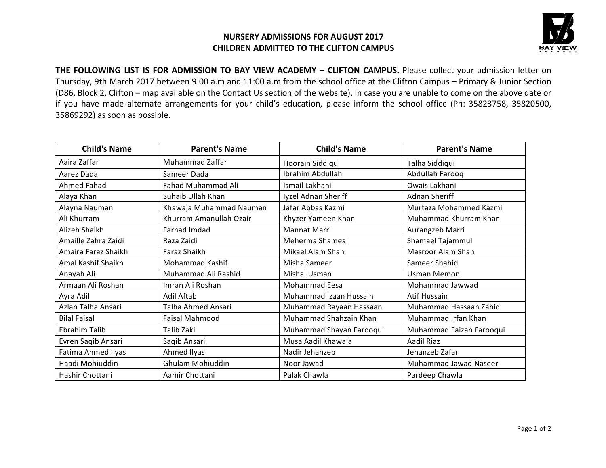## **NURSERY ADMISSIONS FOR AUGUST 2017 CHILDREN ADMITTED TO THE CLIFTON CAMPUS**



THE FOLLOWING LIST IS FOR ADMISSION TO BAY VIEW ACADEMY - CLIFTON CAMPUS. Please collect your admission letter on Thursday, 9th March 2017 between 9:00 a.m and 11:00 a.m from the school office at the Clifton Campus – Primary & Junior Section (D86, Block 2, Clifton – map available on the Contact Us section of the website). In case you are unable to come on the above date or if you have made alternate arrangements for your child's education, please inform the school office (Ph: 35823758, 35820500, 35869292) as soon as possible.

| <b>Child's Name</b> | <b>Parent's Name</b>    | <b>Child's Name</b>      | <b>Parent's Name</b>     |
|---------------------|-------------------------|--------------------------|--------------------------|
| Aaira Zaffar        | Muhammad Zaffar         | Hoorain Siddiqui         | Talha Siddiqui           |
| Aarez Dada          | Sameer Dada             | Ibrahim Abdullah         | Abdullah Farooq          |
| Ahmed Fahad         | Fahad Muhammad Ali      | Ismail Lakhani           | Owais Lakhani            |
| Alaya Khan          | Suhaib Ullah Khan       | Iyzel Adnan Sheriff      | Adnan Sheriff            |
| Alayna Nauman       | Khawaja Muhammad Nauman | Jafar Abbas Kazmi        | Murtaza Mohammed Kazmi   |
| Ali Khurram         | Khurram Amanullah Ozair | Khyzer Yameen Khan       | Muhammad Khurram Khan    |
| Alizeh Shaikh       | Farhad Imdad            | Mannat Marri             | Aurangzeb Marri          |
| Amaille Zahra Zaidi | Raza Zaidi              | Meherma Shameal          | Shamael Tajammul         |
| Amaira Faraz Shaikh | Faraz Shaikh            | Mikael Alam Shah         | Masroor Alam Shah        |
| Amal Kashif Shaikh  | Mohammad Kashif         | Misha Sameer             | Sameer Shahid            |
| Anayah Ali          | Muhammad Ali Rashid     | <b>Mishal Usman</b>      | <b>Usman Memon</b>       |
| Armaan Ali Roshan   | Imran Ali Roshan        | Mohammad Eesa            | Mohammad Jawwad          |
| Ayra Adil           | Adil Aftab              | Muhammad Izaan Hussain   | Atif Hussain             |
| Azlan Talha Ansari  | Talha Ahmed Ansari      | Muhammad Rayaan Hassaan  | Muhammad Hassaan Zahid   |
| <b>Bilal Faisal</b> | Faisal Mahmood          | Muhammad Shahzain Khan   | Muhammad Irfan Khan      |
| Ebrahim Talib       | Talib Zaki              | Muhammad Shayan Farooqui | Muhammad Faizan Farooqui |
| Evren Saqib Ansari  | Saqib Ansari            | Musa Aadil Khawaja       | Aadil Riaz               |
| Fatima Ahmed Ilyas  | Ahmed Ilyas             | Nadir Jehanzeb           | Jehanzeb Zafar           |
| Haadi Mohiuddin     | Ghulam Mohiuddin        | Noor Jawad               | Muhammad Jawad Naseer    |
| Hashir Chottani     | Aamir Chottani          | Palak Chawla             | Pardeep Chawla           |